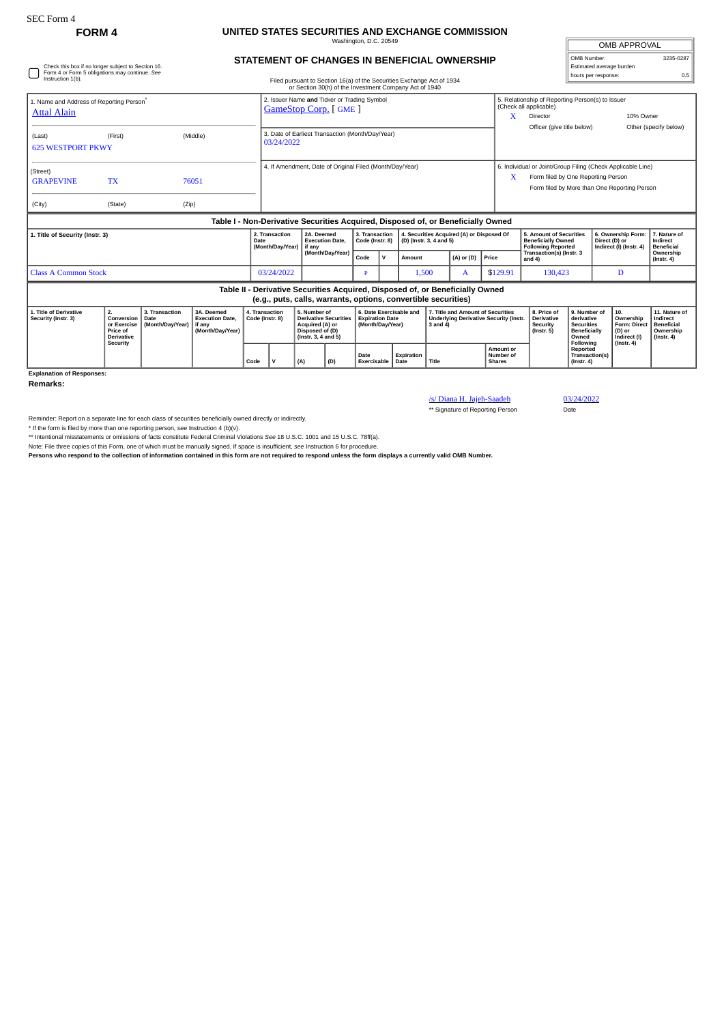## **FORM 4 UNITED STATES SECURITIES AND EXCHANGE COMMISSION** Washington, D.C. 20549

**STATEMENT OF CHANGES IN BENEFICIAL OWNERSHIP**

| OMB APPROVAL             |           |  |  |  |  |  |  |
|--------------------------|-----------|--|--|--|--|--|--|
| OMB Number:              | 3235-0287 |  |  |  |  |  |  |
| Estimated average burden |           |  |  |  |  |  |  |
| hours per response:      | 05        |  |  |  |  |  |  |

/s/ Diana H. Jajeh-Saadeh 03/24/2022<br>\*\* Signature of Reporting Person Date

\*\* Signature of Reporting Person

| Check this box if no longer subject to Section 16.<br>Form 4 or Form 5 obligations may continue. See<br>Instruction 1(b).<br>Filed pursuant to Section 16(a) of the Securities Exchange Act of 1934<br>or Section 30(h) of the Investment Company Act of 1940 |                                                                  |                                            |                                                                                  |                                   |                                                                            |                                                                                                           |  |                                                                       |              |                                                                      |               |                                                                               | Estimated average burden<br>hours per response:                                    |                                                                                                                                                        |                                                                                 |                  | 0.5                                                               |                                                                                 |
|---------------------------------------------------------------------------------------------------------------------------------------------------------------------------------------------------------------------------------------------------------------|------------------------------------------------------------------|--------------------------------------------|----------------------------------------------------------------------------------|-----------------------------------|----------------------------------------------------------------------------|-----------------------------------------------------------------------------------------------------------|--|-----------------------------------------------------------------------|--------------|----------------------------------------------------------------------|---------------|-------------------------------------------------------------------------------|------------------------------------------------------------------------------------|--------------------------------------------------------------------------------------------------------------------------------------------------------|---------------------------------------------------------------------------------|------------------|-------------------------------------------------------------------|---------------------------------------------------------------------------------|
| 1. Name and Address of Reporting Person <sup>®</sup><br><b>Attal Alain</b>                                                                                                                                                                                    |                                                                  |                                            |                                                                                  |                                   | 2. Issuer Name and Ticker or Trading Symbol<br><b>GameStop Corp.</b> [GME] |                                                                                                           |  |                                                                       |              |                                                                      |               |                                                                               | X                                                                                  | 5. Relationship of Reporting Person(s) to Issuer<br>(Check all applicable)<br>10% Owner<br>Director                                                    |                                                                                 |                  |                                                                   |                                                                                 |
| (Last)<br><b>625 WESTPORT PKWY</b>                                                                                                                                                                                                                            | (First)                                                          |                                            | (Middle)                                                                         |                                   | 3. Date of Earliest Transaction (Month/Day/Year)<br>03/24/2022             |                                                                                                           |  |                                                                       |              |                                                                      |               |                                                                               |                                                                                    | Officer (give title below)                                                                                                                             |                                                                                 |                  |                                                                   | Other (specify below)                                                           |
| (Street)<br><b>GRAPEVINE</b><br>(City)                                                                                                                                                                                                                        | <b>TX</b><br>(State)                                             | (Zip)                                      | 76051                                                                            |                                   | 4. If Amendment, Date of Original Filed (Month/Day/Year)                   |                                                                                                           |  |                                                                       |              |                                                                      |               |                                                                               |                                                                                    | 6. Individual or Joint/Group Filing (Check Applicable Line)<br>Form filed by One Reporting Person<br>x<br>Form filed by More than One Reporting Person |                                                                                 |                  |                                                                   |                                                                                 |
|                                                                                                                                                                                                                                                               |                                                                  |                                            | Table I - Non-Derivative Securities Acquired, Disposed of, or Beneficially Owned |                                   |                                                                            |                                                                                                           |  |                                                                       |              |                                                                      |               |                                                                               |                                                                                    |                                                                                                                                                        |                                                                                 |                  |                                                                   |                                                                                 |
| 1. Title of Security (Instr. 3)                                                                                                                                                                                                                               |                                                                  |                                            |                                                                                  | Date                              | 2. Transaction<br>(Month/Day/Year)                                         | 2A. Deemed<br><b>Execution Date,</b><br>l if anv                                                          |  | 3. Transaction<br>Code (Instr. 8)                                     |              | 4. Securities Acquired (A) or Disposed Of<br>(D) (Instr. 3, 4 and 5) |               |                                                                               | 5. Amount of Securities<br><b>Beneficially Owned</b><br><b>Following Reported</b>  |                                                                                                                                                        | 6. Ownership Form:<br>Direct (D) or<br>Indirect (I) (Instr. 4)                  |                  | 7. Nature of<br>Indirect<br><b>Beneficial</b>                     |                                                                                 |
|                                                                                                                                                                                                                                                               |                                                                  |                                            |                                                                                  |                                   |                                                                            | (Month/Day/Year)                                                                                          |  | Code                                                                  | $\mathsf{v}$ | (A) or (D)<br>Amount                                                 |               | Price                                                                         | Transaction(s) (Instr. 3<br>and $4$ )                                              |                                                                                                                                                        |                                                                                 |                  | Ownership<br>$($ Instr. 4 $)$                                     |                                                                                 |
| <b>Class A Common Stock</b>                                                                                                                                                                                                                                   |                                                                  |                                            |                                                                                  |                                   |                                                                            | 03/24/2022                                                                                                |  | Þ                                                                     |              | 1,500<br>A                                                           |               | \$129.91                                                                      | 130,423                                                                            |                                                                                                                                                        |                                                                                 | D                |                                                                   |                                                                                 |
|                                                                                                                                                                                                                                                               |                                                                  |                                            |                                                                                  |                                   |                                                                            |                                                                                                           |  |                                                                       |              | (e.g., puts, calls, warrants, options, convertible securities)       |               | Table II - Derivative Securities Acquired, Disposed of, or Beneficially Owned |                                                                                    |                                                                                                                                                        |                                                                                 |                  |                                                                   |                                                                                 |
| 1. Title of Derivative<br>Security (Instr. 3)                                                                                                                                                                                                                 | 2.<br>Conversion<br>or Exercise<br>Price of<br><b>Derivative</b> | 3. Transaction<br>Date<br>(Month/Day/Year) | 3A. Deemed<br><b>Execution Date.</b><br>if any<br>(Month/Day/Year)               | 4. Transaction<br>Code (Instr. 8) |                                                                            | 5. Number of<br><b>Derivative Securities</b><br>Acquired (A) or<br>Disposed of (D)<br>(Instr. 3, 4 and 5) |  | 6. Date Exercisable and<br><b>Expiration Date</b><br>(Month/Dav/Year) |              |                                                                      | $3$ and $4$ ) |                                                                               | 7. Title and Amount of Securities<br><b>Underlying Derivative Security (Instr.</b> | 8. Price of<br><b>Derivative</b><br>Security<br>$($ Instr. 5 $)$                                                                                       | 9. Number of<br>derivative<br><b>Securities</b><br><b>Beneficially</b><br>Owned |                  | 10.<br>Ownership<br><b>Form: Direct</b><br>(D) or<br>Indirect (I) | 11. Nature of<br>Indirect<br><b>Beneficial</b><br>Ownership<br>$($ Instr. 4 $)$ |
|                                                                                                                                                                                                                                                               | Security                                                         |                                            |                                                                                  | Code                              | $\mathbf{v}$<br>(A)<br>(D)                                                 |                                                                                                           |  | Date<br>Exercisable                                                   |              | <b>Expiration</b><br>l Date                                          | Title         |                                                                               | <b>Amount or</b><br>Number of<br><b>Shares</b>                                     |                                                                                                                                                        | Following<br>Reported<br>Transaction(s)<br>(Instr. 4)                           | $($ lnstr. 4 $)$ |                                                                   |                                                                                 |

**Explanation of Responses:**

**Remarks:**

Reminder: Report on a separate line for each class of securities beneficially owned directly or indirectly.

\* If the form is filed by more than one reporting person, see Instruction 4 (b)(v).<br>\*\* Intentional misstatements or omissions of facts constitute Federal Criminal Violations See 18 U.S.C. 1001 and 15 U.S.C. 78ff(a).

Note: File three copies of this Form, one of which must be manually signed. If space is insufficient, *see* Instruction 6 for procedure.

**Persons who respond to the collection of information contained in this form are not required to respond unless the form displays a currently valid OMB Number.**